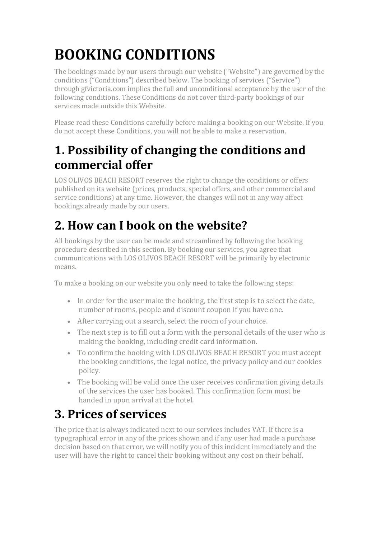# **BOOKING CONDITIONS**

The bookings made by our users through our website ("Website") are governed by the conditions ("Conditions") described below. The booking of services ("Service") through gfvictoria.com implies the full and unconditional acceptance by the user of the following conditions. These Conditions do not cover third-party bookings of our services made outside this Website.

Please read these Conditions carefully before making a booking on our Website. If you do not accept these Conditions, you will not be able to make a reservation.

#### **1. Possibility of changing the conditions and commercial offer**

LOS OLIVOS BEACH RESORT reserves the right to change the conditions or offers published on its website (prices, products, special offers, and other commercial and service conditions) at any time. However, the changes will not in any way affect bookings already made by our users.

## **2. How can I book on the website?**

All bookings by the user can be made and streamlined by following the booking procedure described in this section. By booking our services, you agree that communications with LOS OLIVOS BEACH RESORT will be primarily by electronic means.

To make a booking on our website you only need to take the following steps:

- In order for the user make the booking, the first step is to select the date, number of rooms, people and discount coupon if you have one.
- After carrying out a search, select the room of your choice.
- The next step is to fill out a form with the personal details of the user who is making the booking, including credit card information.
- To confirm the booking with LOS OLIVOS BEACH RESORT you must accept the booking conditions, the legal notice, the privacy policy and our cookies policy.
- The booking will be valid once the user receives confirmation giving details of the services the user has booked. This confirmation form must be handed in upon arrival at the hotel.

#### **3. Prices of services**

The price that is always indicated next to our services includes VAT. If there is a typographical error in any of the prices shown and if any user had made a purchase decision based on that error, we will notify you of this incident immediately and the user will have the right to cancel their booking without any cost on their behalf.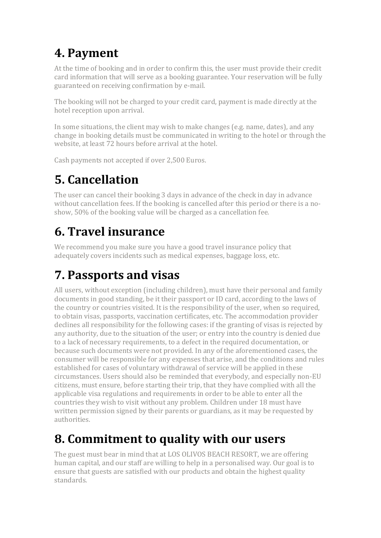## **4. Payment**

At the time of booking and in order to confirm this, the user must provide their credit card information that will serve as a booking guarantee. Your reservation will be fully guaranteed on receiving confirmation by e-mail.

The booking will not be charged to your credit card, payment is made directly at the hotel reception upon arrival.

In some situations, the client may wish to make changes (e.g. name, dates), and any change in booking details must be communicated in writing to the hotel or through the website, at least 72 hours before arrival at the hotel.

Cash payments not accepted if over 2,500 Euros.

## **5. Cancellation**

The user can cancel their booking 3 days in advance of the check in day in advance without cancellation fees. If the booking is cancelled after this period or there is a noshow, 50% of the booking value will be charged as a cancellation fee.

## **6. Travel insurance**

We recommend you make sure you have a good travel insurance policy that adequately covers incidents such as medical expenses, baggage loss, etc.

## **7. Passports and visas**

All users, without exception (including children), must have their personal and family documents in good standing, be it their passport or ID card, according to the laws of the country or countries visited. It is the responsibility of the user, when so required, to obtain visas, passports, vaccination certificates, etc. The accommodation provider declines all responsibility for the following cases: if the granting of visas is rejected by any authority, due to the situation of the user; or entry into the country is denied due to a lack of necessary requirements, to a defect in the required documentation, or because such documents were not provided. In any of the aforementioned cases, the consumer will be responsible for any expenses that arise, and the conditions and rules established for cases of voluntary withdrawal of service will be applied in these circumstances. Users should also be reminded that everybody, and especially non-EU citizens, must ensure, before starting their trip, that they have complied with all the applicable visa regulations and requirements in order to be able to enter all the countries they wish to visit without any problem. Children under 18 must have written permission signed by their parents or guardians, as it may be requested by authorities.

#### **8. Commitment to quality with our users**

The guest must bear in mind that at LOS OLIVOS BEACH RESORT, we are offering human capital, and our staff are willing to help in a personalised way. Our goal is to ensure that guests are satisfied with our products and obtain the highest quality standards.